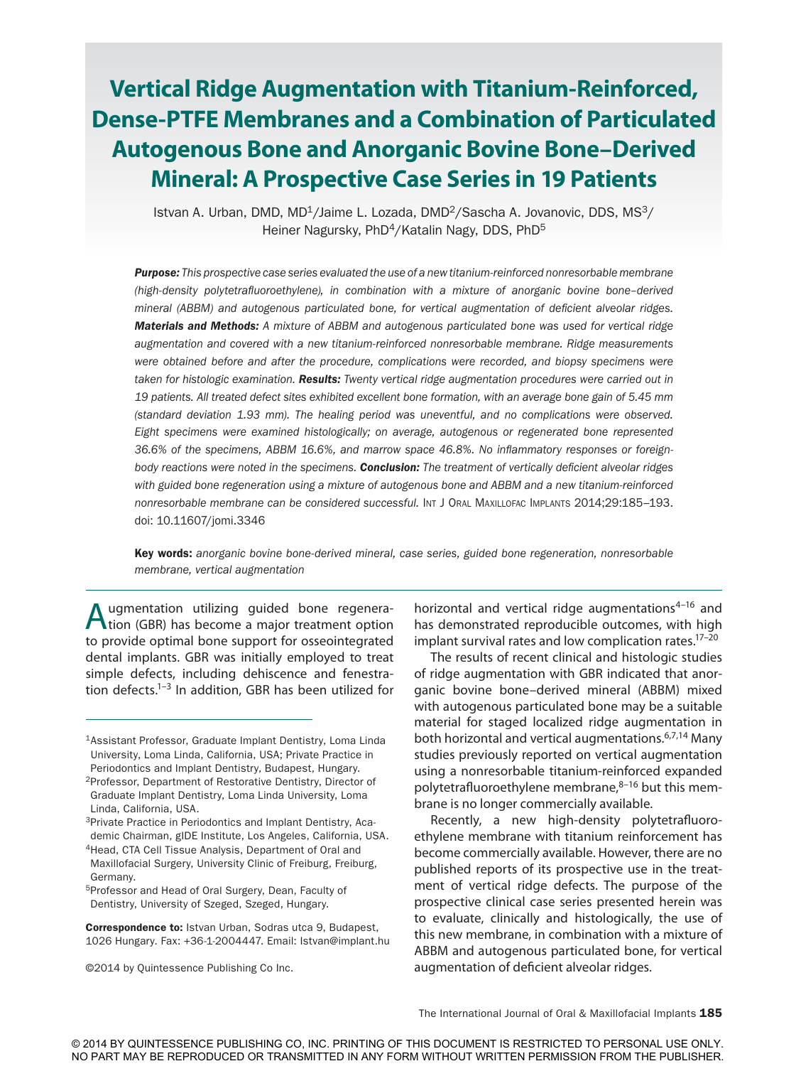# **Vertical Ridge Augmentation with Titanium-Reinforced, Dense-PTFE Membranes and a Combination of Particulated Autogenous Bone and Anorganic Bovine Bone–Derived Mineral: A Prospective Case Series in 19 Patients**

Istvan A. Urban, DMD, MD<sup>1</sup>/Jaime L. Lozada, DMD<sup>2</sup>/Sascha A. Jovanovic, DDS, MS<sup>3</sup>/ Heiner Nagursky, PhD<sup>4</sup>/Katalin Nagy, DDS, PhD<sup>5</sup>

*Purpose: This prospective case series evaluated the use of a new titanium-reinforced nonresorbable membrane (high-density polytetrafluoroethylene), in combination with a mixture of anorganic bovine bone–derived mineral (ABBM) and autogenous particulated bone, for vertical augmentation of deficient alveolar ridges. Materials and Methods: A mixture of ABBM and autogenous particulated bone was used for vertical ridge augmentation and covered with a new titanium-reinforced nonresorbable membrane. Ridge measurements were obtained before and after the procedure, complications were recorded, and biopsy specimens were taken for histologic examination. Results: Twenty vertical ridge augmentation procedures were carried out in 19 patients. All treated defect sites exhibited excellent bone formation, with an average bone gain of 5.45 mm (standard deviation 1.93 mm). The healing period was uneventful, and no complications were observed. Eight specimens were examined histologically; on average, autogenous or regenerated bone represented 36.6% of the specimens, ABBM 16.6%, and marrow space 46.8%. No inflammatory responses or foreignbody reactions were noted in the specimens. Conclusion: The treatment of vertically deficient alveolar ridges*  with guided bone regeneration using a mixture of autogenous bone and ABBM and a new titanium-reinforced *nonresorbable membrane can be considered successful.* Int J Oral Maxillofac Implants 2014;29:185–193. doi: 10.11607/jomi.3346

Key words: *anorganic bovine bone-derived mineral, case series, guided bone regeneration, nonresorbable membrane, vertical augmentation*

Augmentation utilizing guided bone regenera-tion (GBR) has become a major treatment option to provide optimal bone support for osseointegrated dental implants. GBR was initially employed to treat simple defects, including dehiscence and fenestration defects.<sup>1-3</sup> In addition, GBR has been utilized for

3Private Practice in Periodontics and Implant Dentistry, Academic Chairman, gIDE Institute, Los Angeles, California, USA.

4Head, CTA Cell Tissue Analysis, Department of Oral and Maxillofacial Surgery, University Clinic of Freiburg, Freiburg, Germany.

5Professor and Head of Oral Surgery, Dean, Faculty of Dentistry, University of Szeged, Szeged, Hungary.

Correspondence to: Istvan Urban, Sodras utca 9, Budapest, 1026 Hungary. Fax: +36-1-2004447. Email: Istvan@implant.hu

©2014 by Quintessence Publishing Co Inc.

horizontal and vertical ridge augmentations<sup>4-16</sup> and has demonstrated reproducible outcomes, with high implant survival rates and low complication rates.<sup>17-20</sup>

The results of recent clinical and histologic studies of ridge augmentation with GBR indicated that anorganic bovine bone–derived mineral (ABBM) mixed with autogenous particulated bone may be a suitable material for staged localized ridge augmentation in both horizontal and vertical augmentations.<sup>6,7,14</sup> Many studies previously reported on vertical augmentation using a nonresorbable titanium-reinforced expanded polytetrafluoroethylene membrane, $8-16$  but this membrane is no longer commercially available.

Recently, a new high-density polytetrafluoroethylene membrane with titanium reinforcement has become commercially available. However, there are no published reports of its prospective use in the treatment of vertical ridge defects. The purpose of the prospective clinical case series presented herein was to evaluate, clinically and histologically, the use of this new membrane, in combination with a mixture of ABBM and autogenous particulated bone, for vertical augmentation of deficient alveolar ridges.

<sup>1</sup>Assistant Professor, Graduate Implant Dentistry, Loma Linda University, Loma Linda, California, USA; Private Practice in Periodontics and Implant Dentistry, Budapest, Hungary.

<sup>2</sup>Professor, Department of Restorative Dentistry, Director of Graduate Implant Dentistry, Loma Linda University, Loma Linda, California, USA.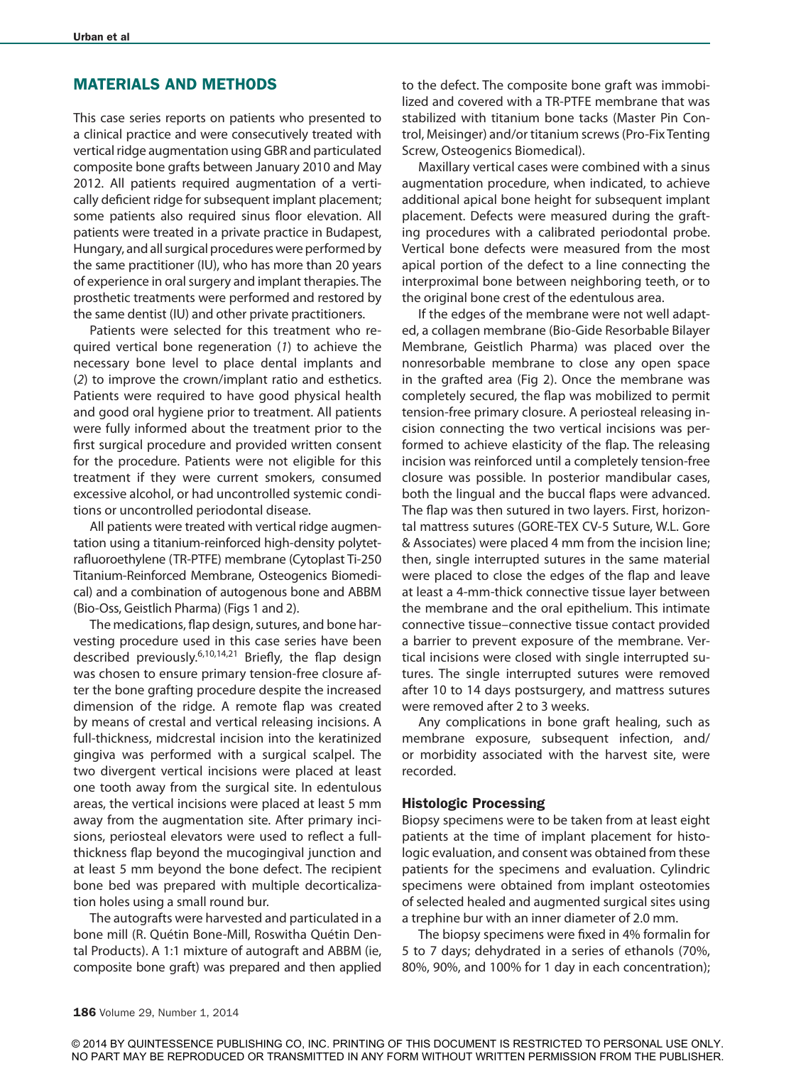# MATERIALS AND METHODS

This case series reports on patients who presented to a clinical practice and were consecutively treated with vertical ridge augmentation using GBR and particulated composite bone grafts between January 2010 and May 2012. All patients required augmentation of a vertically deficient ridge for subsequent implant placement; some patients also required sinus floor elevation. All patients were treated in a private practice in Budapest, Hungary, and all surgical procedures were performed by the same practitioner (IU), who has more than 20 years of experience in oral surgery and implant therapies. The prosthetic treatments were performed and restored by the same dentist (IU) and other private practitioners.

Patients were selected for this treatment who required vertical bone regeneration (*1*) to achieve the necessary bone level to place dental implants and (*2*) to improve the crown/implant ratio and esthetics. Patients were required to have good physical health and good oral hygiene prior to treatment. All patients were fully informed about the treatment prior to the first surgical procedure and provided written consent for the procedure. Patients were not eligible for this treatment if they were current smokers, consumed excessive alcohol, or had uncontrolled systemic conditions or uncontrolled periodontal disease.

All patients were treated with vertical ridge augmentation using a titanium-reinforced high-density polytetrafluoroethylene (TR-PTFE) membrane (Cytoplast Ti-250 Titanium-Reinforced Membrane, Osteogenics Biomedical) and a combination of autogenous bone and ABBM (Bio-Oss, Geistlich Pharma) (Figs 1 and 2).

The medications, flap design, sutures, and bone harvesting procedure used in this case series have been described previously.<sup>6,10,14,21</sup> Briefly, the flap design was chosen to ensure primary tension-free closure after the bone grafting procedure despite the increased dimension of the ridge. A remote flap was created by means of crestal and vertical releasing incisions. A full-thickness, midcrestal incision into the keratinized gingiva was performed with a surgical scalpel. The two divergent vertical incisions were placed at least one tooth away from the surgical site. In edentulous areas, the vertical incisions were placed at least 5 mm away from the augmentation site. After primary incisions, periosteal elevators were used to reflect a fullthickness flap beyond the mucogingival junction and at least 5 mm beyond the bone defect. The recipient bone bed was prepared with multiple decorticalization holes using a small round bur.

The autografts were harvested and particulated in a bone mill (R. Quétin Bone-Mill, Roswitha Quétin Dental Products). A 1:1 mixture of autograft and ABBM (ie, composite bone graft) was prepared and then applied to the defect. The composite bone graft was immobilized and covered with a TR-PTFE membrane that was stabilized with titanium bone tacks (Master Pin Control, Meisinger) and/or titanium screws (Pro-Fix Tenting Screw, Osteogenics Biomedical).

Maxillary vertical cases were combined with a sinus augmentation procedure, when indicated, to achieve additional apical bone height for subsequent implant placement. Defects were measured during the grafting procedures with a calibrated periodontal probe. Vertical bone defects were measured from the most apical portion of the defect to a line connecting the interproximal bone between neighboring teeth, or to the original bone crest of the edentulous area.

If the edges of the membrane were not well adapted, a collagen membrane (Bio-Gide Resorbable Bilayer Membrane, Geistlich Pharma) was placed over the nonresorbable membrane to close any open space in the grafted area (Fig 2). Once the membrane was completely secured, the flap was mobilized to permit tension-free primary closure. A periosteal releasing incision connecting the two vertical incisions was performed to achieve elasticity of the flap. The releasing incision was reinforced until a completely tension-free closure was possible. In posterior mandibular cases, both the lingual and the buccal flaps were advanced. The flap was then sutured in two layers. First, horizontal mattress sutures (GORE-TEX CV-5 Suture, W.L. Gore & Associates) were placed 4 mm from the incision line; then, single interrupted sutures in the same material were placed to close the edges of the flap and leave at least a 4-mm-thick connective tissue layer between the membrane and the oral epithelium. This intimate connective tissue–connective tissue contact provided a barrier to prevent exposure of the membrane. Vertical incisions were closed with single interrupted sutures. The single interrupted sutures were removed after 10 to 14 days postsurgery, and mattress sutures were removed after 2 to 3 weeks.

Any complications in bone graft healing, such as membrane exposure, subsequent infection, and/ or morbidity associated with the harvest site, were recorded.

### Histologic Processing

Biopsy specimens were to be taken from at least eight patients at the time of implant placement for histologic evaluation, and consent was obtained from these patients for the specimens and evaluation. Cylindric specimens were obtained from implant osteotomies of selected healed and augmented surgical sites using a trephine bur with an inner diameter of 2.0 mm.

The biopsy specimens were fixed in 4% formalin for 5 to 7 days; dehydrated in a series of ethanols (70%, 80%, 90%, and 100% for 1 day in each concentration);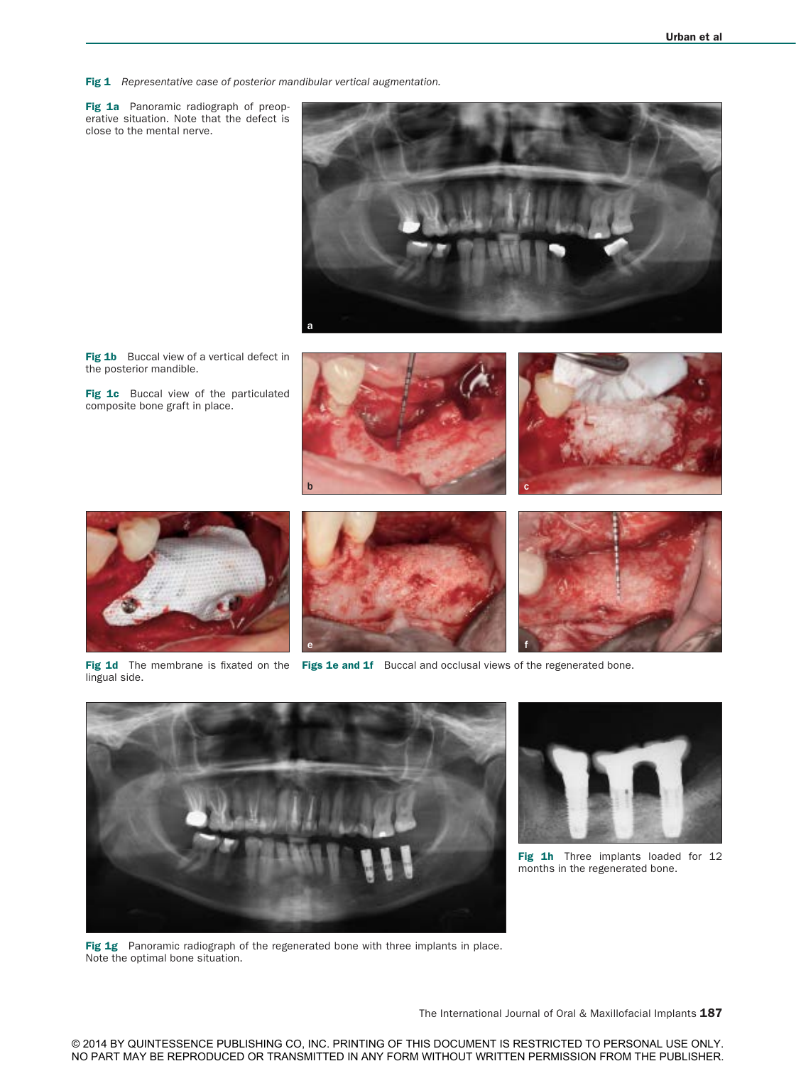Fig 1 *Representative case of posterior mandibular vertical augmentation.*

Fig 1a Panoramic radiograph of preoperative situation. Note that the defect is close to the mental nerve.



Fig 1b Buccal view of a vertical defect in the posterior mandible.

Fig 1c Buccal view of the particulated composite bone graft in place.







lingual side.



Fig 1d The membrane is fixated on the Figs 1e and 1f Buccal and occlusal views of the regenerated bone.





Fig 1h Three implants loaded for 12 months in the regenerated bone.

Fig 1g Panoramic radiograph of the regenerated bone with three implants in place. Note the optimal bone situation.

The International Journal of Oral & Maxillofacial Implants 187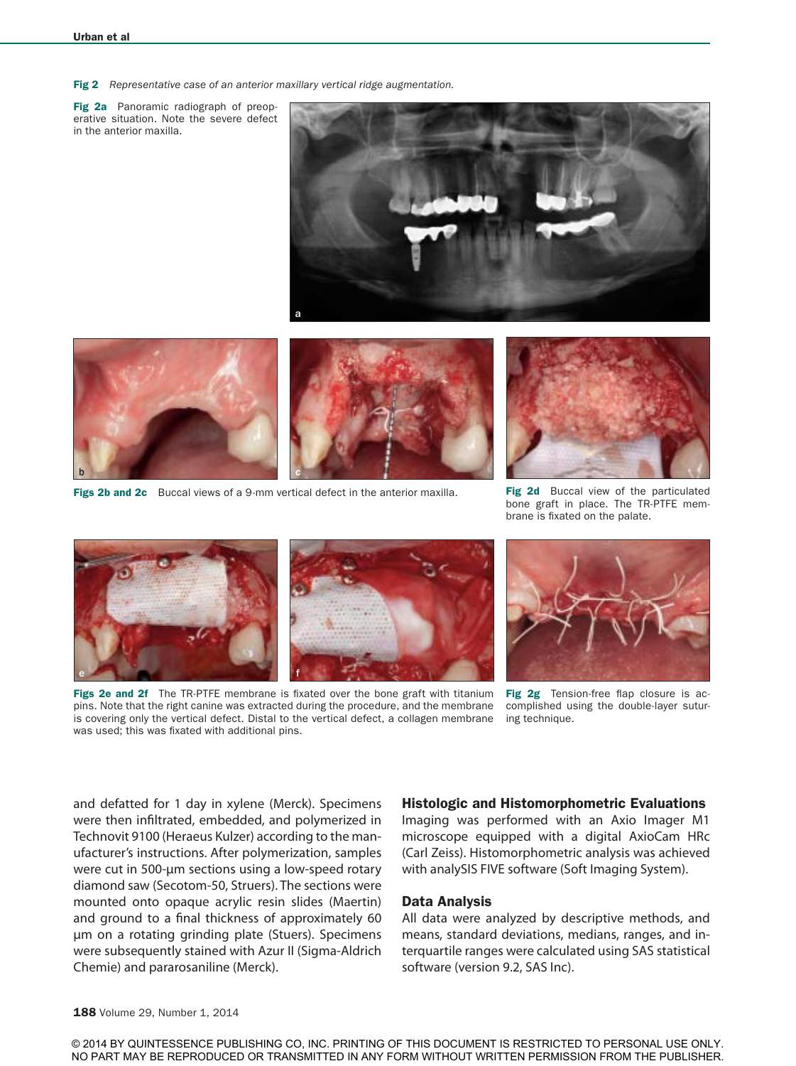Fig 2 *Representative case of an anterior maxillary vertical ridge augmentation.*

Fig 2a Panoramic radiograph of preoperative situation. Note the severe defect in the anterior maxilla.





Figs 2b and 2c Buccal views of a 9-mm vertical defect in the anterior maxilla. Fig 2d Buccal view of the particulated

bone graft in place. The TR-PTFE membrane is fixated on the palate.





Figs 2e and 2f The TR-PTFE membrane is fixated over the bone graft with titanium pins. Note that the right canine was extracted during the procedure, and the membrane is covering only the vertical defect. Distal to the vertical defect, a collagen membrane was used; this was fixated with additional pins.



Fig 2g Tension-free flap closure is accomplished using the double-layer suturing technique.

and defatted for 1 day in xylene (Merck). Specimens were then infiltrated, embedded, and polymerized in Technovit 9100 (Heraeus Kulzer) according to the manufacturer's instructions. After polymerization, samples were cut in 500-µm sections using a low-speed rotary diamond saw (Secotom-50, Struers). The sections were mounted onto opaque acrylic resin slides (Maertin) and ground to a final thickness of approximately 60 µm on a rotating grinding plate (Stuers). Specimens were subsequently stained with Azur II (Sigma-Aldrich Chemie) and pararosaniline (Merck).

#### Histologic and Histomorphometric Evaluations

Imaging was performed with an Axio Imager M1 microscope equipped with a digital AxioCam HRc (Carl Zeiss). Histomorphometric analysis was achieved with analySIS FIVE software (Soft Imaging System).

### Data Analysis

All data were analyzed by descriptive methods, and means, standard deviations, medians, ranges, and interquartile ranges were calculated using SAS statistical software (version 9.2, SAS Inc).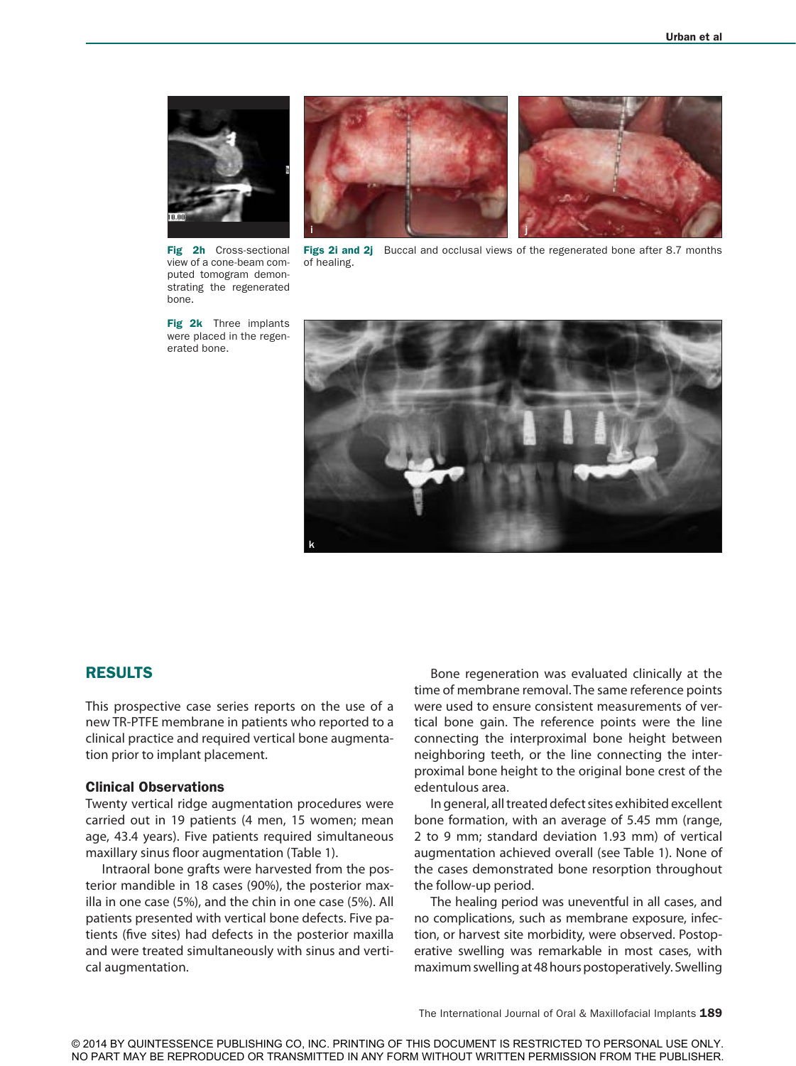

Fig 2h Cross-sectional view of a cone-beam computed tomogram demonstrating the regenerated bone.

Fig 2k Three implants were placed in the regenerated bone.



Figs 2i and 2j Buccal and occlusal views of the regenerated bone after 8.7 months of healing.



### RESULTS

This prospective case series reports on the use of a new TR-PTFE membrane in patients who reported to a clinical practice and required vertical bone augmentation prior to implant placement.

#### Clinical Observations

Twenty vertical ridge augmentation procedures were carried out in 19 patients (4 men, 15 women; mean age, 43.4 years). Five patients required simultaneous maxillary sinus floor augmentation (Table 1).

Intraoral bone grafts were harvested from the posterior mandible in 18 cases (90%), the posterior maxilla in one case (5%), and the chin in one case (5%). All patients presented with vertical bone defects. Five patients (five sites) had defects in the posterior maxilla and were treated simultaneously with sinus and vertical augmentation.

Bone regeneration was evaluated clinically at the time of membrane removal. The same reference points were used to ensure consistent measurements of vertical bone gain. The reference points were the line connecting the interproximal bone height between neighboring teeth, or the line connecting the interproximal bone height to the original bone crest of the edentulous area.

In general, all treated defect sites exhibited excellent bone formation, with an average of 5.45 mm (range, 2 to 9 mm; standard deviation 1.93 mm) of vertical augmentation achieved overall (see Table 1). None of the cases demonstrated bone resorption throughout the follow-up period.

The healing period was uneventful in all cases, and no complications, such as membrane exposure, infection, or harvest site morbidity, were observed. Postoperative swelling was remarkable in most cases, with maximum swelling at 48 hours postoperatively. Swelling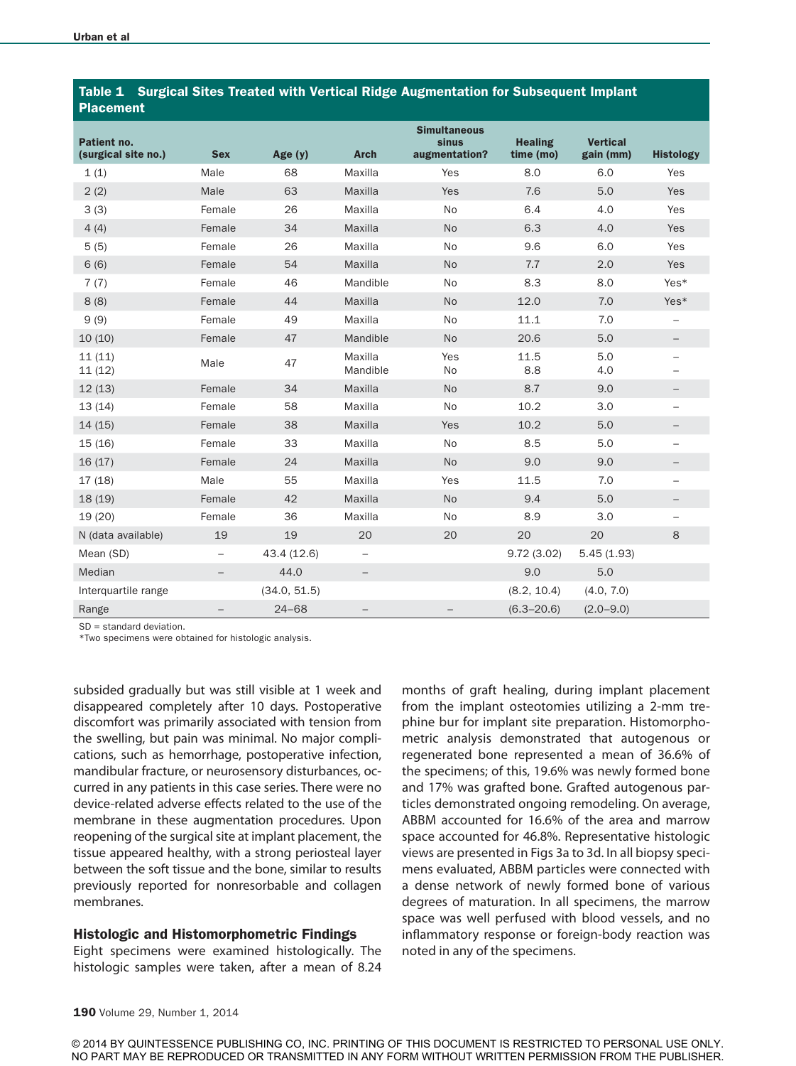| <b>Placement</b>                   |                   |              |                     |                                               |                             |                              |                          |
|------------------------------------|-------------------|--------------|---------------------|-----------------------------------------------|-----------------------------|------------------------------|--------------------------|
| Patient no.<br>(surgical site no.) | <b>Sex</b>        | Age (y)      | <b>Arch</b>         | <b>Simultaneous</b><br>sinus<br>augmentation? | <b>Healing</b><br>time (mo) | <b>Vertical</b><br>gain (mm) | <b>Histology</b>         |
| 1(1)                               | Male              | 68           | Maxilla             | Yes                                           | 8.0                         | 6.0                          | Yes                      |
| 2(2)                               | Male              | 63           | Maxilla             | Yes                                           | 7.6                         | 5.0                          | Yes                      |
| 3(3)                               | Female            | 26           | Maxilla             | <b>No</b>                                     | 6.4                         | 4.0                          | Yes                      |
| 4(4)                               | Female            | 34           | Maxilla             | <b>No</b>                                     | 6.3                         | 4.0                          | Yes                      |
| 5(5)                               | Female            | 26           | Maxilla             | No                                            | 9.6                         | 6.0                          | Yes                      |
| 6(6)                               | Female            | 54           | Maxilla             | <b>No</b>                                     | 7.7                         | 2.0                          | Yes                      |
| 7(7)                               | Female            | 46           | Mandible            | <b>No</b>                                     | 8.3                         | 8.0                          | Yes*                     |
| 8(8)                               | Female            | 44           | Maxilla             | <b>No</b>                                     | 12.0                        | 7.0                          | Yes*                     |
| 9(9)                               | Female            | 49           | Maxilla             | No                                            | 11.1                        | 7.0                          |                          |
| 10(10)                             | Female            | 47           | Mandible            | <b>No</b>                                     | 20.6                        | 5.0                          |                          |
| 11(11)<br>11(12)                   | Male              | 47           | Maxilla<br>Mandible | Yes<br>No                                     | 11.5<br>8.8                 | 5.0<br>4.0                   |                          |
| 12(13)                             | Female            | 34           | Maxilla             | <b>No</b>                                     | 8.7                         | 9.0                          |                          |
| 13(14)                             | Female            | 58           | Maxilla             | No                                            | 10.2                        | 3.0                          | $\overline{\phantom{m}}$ |
| 14(15)                             | Female            | 38           | Maxilla             | Yes                                           | 10.2                        | 5.0                          |                          |
| 15(16)                             | Female            | 33           | Maxilla             | <b>No</b>                                     | 8.5                         | 5.0                          | $\qquad \qquad -$        |
| 16(17)                             | Female            | 24           | Maxilla             | <b>No</b>                                     | 9.0                         | 9.0                          |                          |
| 17 (18)                            | Male              | 55           | Maxilla             | Yes                                           | 11.5                        | 7.0                          |                          |
| 18 (19)                            | Female            | 42           | Maxilla             | <b>No</b>                                     | 9.4                         | 5.0                          |                          |
| 19 (20)                            | Female            | 36           | Maxilla             | <b>No</b>                                     | 8.9                         | 3.0                          | $\overline{\phantom{0}}$ |
| N (data available)                 | 19                | 19           | 20                  | 20                                            | 20                          | 20                           | 8                        |
| Mean (SD)                          | $\qquad \qquad -$ | 43.4 (12.6)  | $\qquad \qquad -$   |                                               | 9.72(3.02)                  | 5.45(1.93)                   |                          |
| Median                             | $\qquad \qquad -$ | 44.0         | $\qquad \qquad -$   |                                               | 9.0                         | 5.0                          |                          |
| Interquartile range                |                   | (34.0, 51.5) |                     |                                               | (8.2, 10.4)                 | (4.0, 7.0)                   |                          |
| Range                              |                   | $24 - 68$    |                     |                                               | $(6.3 - 20.6)$              | $(2.0 - 9.0)$                |                          |

# Table 1 Surgical Sites Treated with Vertical Ridge Augmentation for Subsequent Implant

SD = standard deviation.

\*Two specimens were obtained for histologic analysis.

subsided gradually but was still visible at 1 week and disappeared completely after 10 days. Postoperative discomfort was primarily associated with tension from the swelling, but pain was minimal. No major complications, such as hemorrhage, postoperative infection, mandibular fracture, or neurosensory disturbances, occurred in any patients in this case series. There were no device-related adverse effects related to the use of the membrane in these augmentation procedures. Upon reopening of the surgical site at implant placement, the tissue appeared healthy, with a strong periosteal layer between the soft tissue and the bone, similar to results previously reported for nonresorbable and collagen membranes.

### Histologic and Histomorphometric Findings

Eight specimens were examined histologically. The histologic samples were taken, after a mean of 8.24 months of graft healing, during implant placement from the implant osteotomies utilizing a 2-mm trephine bur for implant site preparation. Histomorphometric analysis demonstrated that autogenous or regenerated bone represented a mean of 36.6% of the specimens; of this, 19.6% was newly formed bone and 17% was grafted bone. Grafted autogenous particles demonstrated ongoing remodeling. On average, ABBM accounted for 16.6% of the area and marrow space accounted for 46.8%. Representative histologic views are presented in Figs 3a to 3d. In all biopsy specimens evaluated, ABBM particles were connected with a dense network of newly formed bone of various degrees of maturation. In all specimens, the marrow space was well perfused with blood vessels, and no inflammatory response or foreign-body reaction was noted in any of the specimens.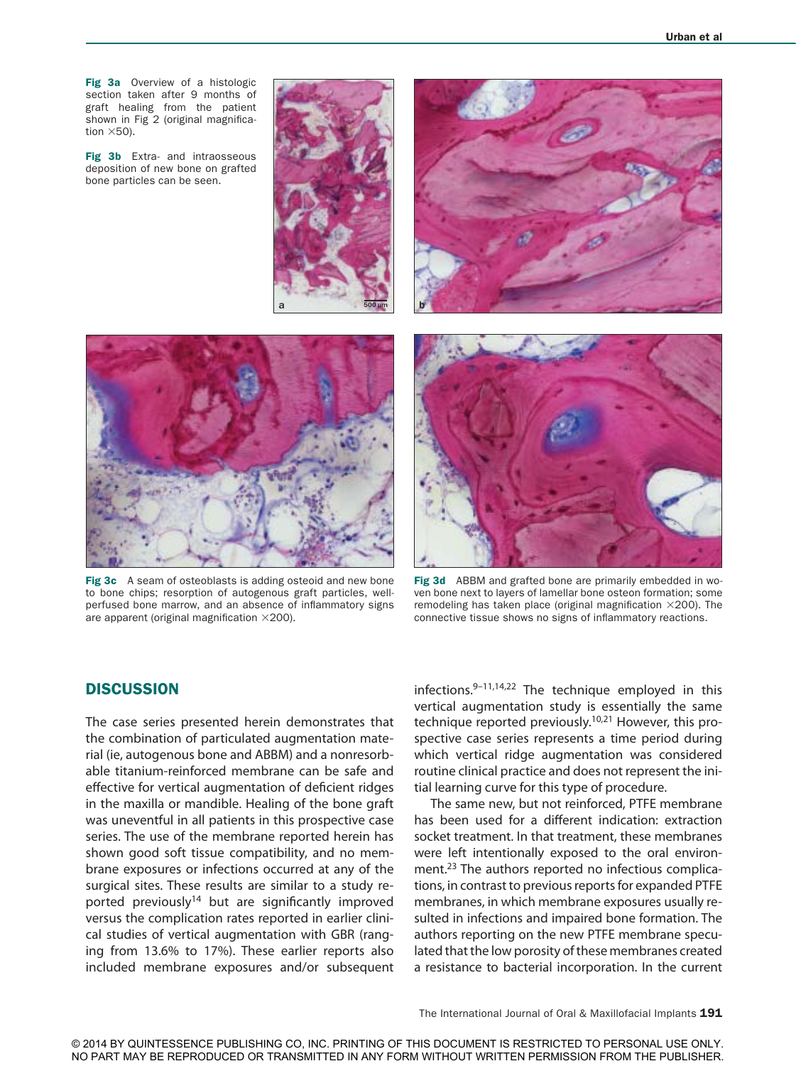Fig 3a Overview of a histologic section taken after 9 months of graft healing from the patient shown in Fig 2 (original magnification  $\times$ 50).

Fig 3b Extra- and intraosseous deposition of new bone on grafted bone particles can be seen.





Fig 3c A seam of osteoblasts is adding osteoid and new bone to bone chips; resorption of autogenous graft particles, wellperfused bone marrow, and an absence of inflammatory signs are apparent (original magnification  $\times$ 200).





Fig 3d ABBM and grafted bone are primarily embedded in woven bone next to layers of lamellar bone osteon formation; some remodeling has taken place (original magnification  $\times$ 200). The connective tissue shows no signs of inflammatory reactions.

# **DISCUSSION**

The case series presented herein demonstrates that the combination of particulated augmentation material (ie, autogenous bone and ABBM) and a nonresorbable titanium-reinforced membrane can be safe and effective for vertical augmentation of deficient ridges in the maxilla or mandible. Healing of the bone graft was uneventful in all patients in this prospective case series. The use of the membrane reported herein has shown good soft tissue compatibility, and no membrane exposures or infections occurred at any of the surgical sites. These results are similar to a study reported previously<sup>14</sup> but are significantly improved versus the complication rates reported in earlier clinical studies of vertical augmentation with GBR (ranging from 13.6% to 17%). These earlier reports also included membrane exposures and/or subsequent infections. $9-11,14,22$  The technique employed in this vertical augmentation study is essentially the same technique reported previously.<sup>10,21</sup> However, this prospective case series represents a time period during which vertical ridge augmentation was considered routine clinical practice and does not represent the initial learning curve for this type of procedure.

The same new, but not reinforced, PTFE membrane has been used for a different indication: extraction socket treatment. In that treatment, these membranes were left intentionally exposed to the oral environment.<sup>23</sup> The authors reported no infectious complications, in contrast to previous reports for expanded PTFE membranes, in which membrane exposures usually resulted in infections and impaired bone formation. The authors reporting on the new PTFE membrane speculated that the low porosity of these membranes created a resistance to bacterial incorporation. In the current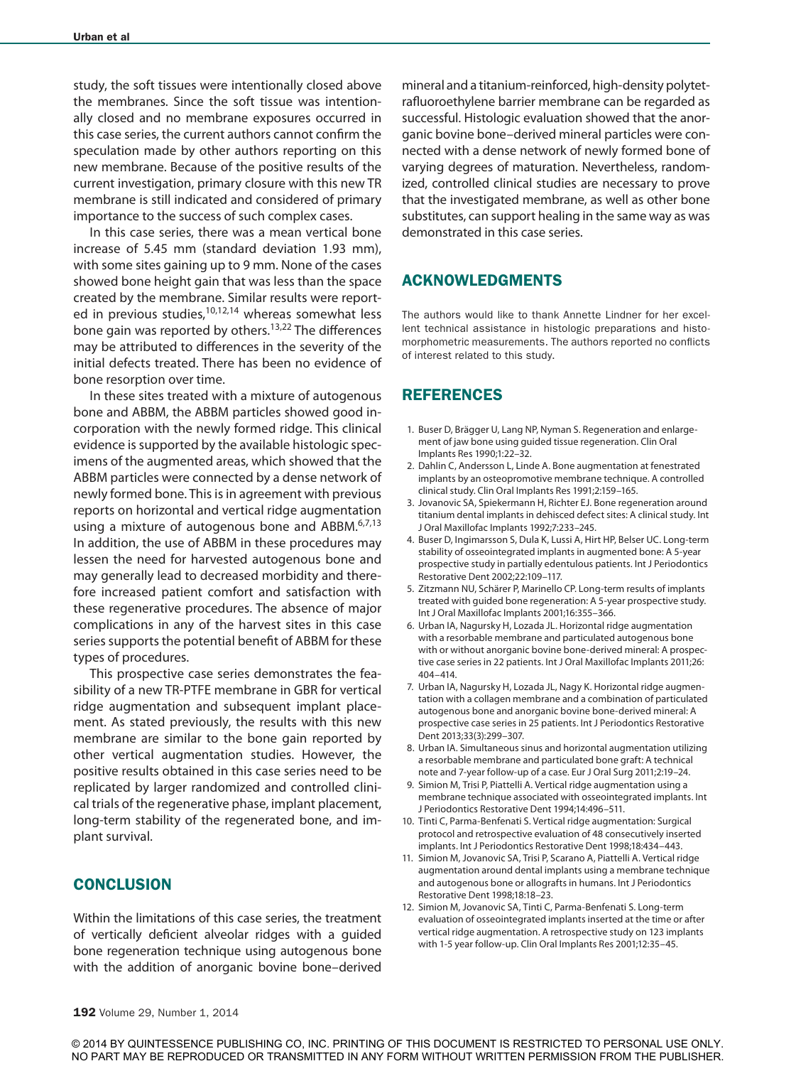study, the soft tissues were intentionally closed above the membranes. Since the soft tissue was intentionally closed and no membrane exposures occurred in this case series, the current authors cannot confirm the speculation made by other authors reporting on this new membrane. Because of the positive results of the current investigation, primary closure with this new TR membrane is still indicated and considered of primary importance to the success of such complex cases.

In this case series, there was a mean vertical bone increase of 5.45 mm (standard deviation 1.93 mm), with some sites gaining up to 9 mm. None of the cases showed bone height gain that was less than the space created by the membrane. Similar results were reported in previous studies,<sup>10,12,14</sup> whereas somewhat less bone gain was reported by others.<sup>13,22</sup> The differences may be attributed to differences in the severity of the initial defects treated. There has been no evidence of bone resorption over time.

In these sites treated with a mixture of autogenous bone and ABBM, the ABBM particles showed good incorporation with the newly formed ridge. This clinical evidence is supported by the available histologic specimens of the augmented areas, which showed that the ABBM particles were connected by a dense network of newly formed bone. This is in agreement with previous reports on horizontal and vertical ridge augmentation using a mixture of autogenous bone and ABBM.<sup>6,7,13</sup> In addition, the use of ABBM in these procedures may lessen the need for harvested autogenous bone and may generally lead to decreased morbidity and therefore increased patient comfort and satisfaction with these regenerative procedures. The absence of major complications in any of the harvest sites in this case series supports the potential benefit of ABBM for these types of procedures.

This prospective case series demonstrates the feasibility of a new TR-PTFE membrane in GBR for vertical ridge augmentation and subsequent implant placement. As stated previously, the results with this new membrane are similar to the bone gain reported by other vertical augmentation studies. However, the positive results obtained in this case series need to be replicated by larger randomized and controlled clinical trials of the regenerative phase, implant placement, long-term stability of the regenerated bone, and implant survival.

### **CONCLUSION**

Within the limitations of this case series, the treatment of vertically deficient alveolar ridges with a guided bone regeneration technique using autogenous bone with the addition of anorganic bovine bone–derived

mineral and a titanium-reinforced, high-density polytetrafluoroethylene barrier membrane can be regarded as successful. Histologic evaluation showed that the anorganic bovine bone–derived mineral particles were connected with a dense network of newly formed bone of varying degrees of maturation. Nevertheless, randomized, controlled clinical studies are necessary to prove that the investigated membrane, as well as other bone substitutes, can support healing in the same way as was demonstrated in this case series.

# ACKNOWLEDGMENTs

The authors would like to thank Annette Lindner for her excellent technical assistance in histologic preparations and histomorphometric measurements. The authors reported no conflicts of interest related to this study.

# REFERENCES

- 1. Buser D, Brägger U, Lang NP, Nyman S. Regeneration and enlargement of jaw bone using guided tissue regeneration. Clin Oral Implants Res 1990;1:22–32.
- 2. Dahlin C, Andersson L, Linde A. Bone augmentation at fenestrated implants by an osteopromotive membrane technique. A controlled clinical study. Clin Oral Implants Res 1991;2:159–165.
- 3. Jovanovic SA, Spiekermann H, Richter EJ. Bone regeneration around titanium dental implants in dehisced defect sites: A clinical study. Int J Oral Maxillofac Implants 1992;7:233–245.
- 4. Buser D, Ingimarsson S, Dula K, Lussi A, Hirt HP, Belser UC. Long-term stability of osseointegrated implants in augmented bone: A 5-year prospective study in partially edentulous patients. Int J Periodontics Restorative Dent 2002;22:109–117.
- 5. Zitzmann NU, Schärer P, Marinello CP. Long-term results of implants treated with guided bone regeneration: A 5-year prospective study. Int J Oral Maxillofac Implants 2001;16:355–366.
- 6. Urban IA, Nagursky H, Lozada JL. Horizontal ridge augmentation with a resorbable membrane and particulated autogenous bone with or without anorganic bovine bone-derived mineral: A prospective case series in 22 patients. Int J Oral Maxillofac Implants 2011;26: 404–414.
- 7. Urban IA, Nagursky H, Lozada JL, Nagy K. Horizontal ridge augmentation with a collagen membrane and a combination of particulated autogenous bone and anorganic bovine bone-derived mineral: A prospective case series in 25 patients. Int J Periodontics Restorative Dent 2013;33(3):299–307.
- 8. Urban IA. Simultaneous sinus and horizontal augmentation utilizing a resorbable membrane and particulated bone graft: A technical note and 7-year follow-up of a case. Eur J Oral Surg 2011;2:19–24.
- 9. Simion M, Trisi P, Piattelli A. Vertical ridge augmentation using a membrane technique associated with osseointegrated implants. Int J Periodontics Restorative Dent 1994;14:496–511.
- 10. Tinti C, Parma-Benfenati S. Vertical ridge augmentation: Surgical protocol and retrospective evaluation of 48 consecutively inserted implants. Int J Periodontics Restorative Dent 1998;18:434–443.
- 11. Simion M, Jovanovic SA, Trisi P, Scarano A, Piattelli A. Vertical ridge augmentation around dental implants using a membrane technique and autogenous bone or allografts in humans. Int J Periodontics Restorative Dent 1998;18:18–23.
- 12. Simion M, Jovanovic SA, Tinti C, Parma-Benfenati S. Long-term evaluation of osseointegrated implants inserted at the time or after vertical ridge augmentation. A retrospective study on 123 implants with 1-5 year follow-up. Clin Oral Implants Res 2001;12:35–45.